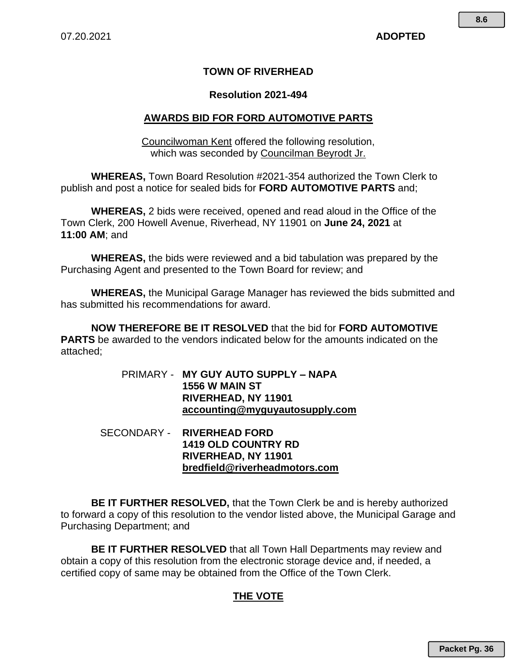#### **TOWN OF RIVERHEAD**

#### **Resolution 2021-494**

#### **AWARDS BID FOR FORD AUTOMOTIVE PARTS**

Councilwoman Kent offered the following resolution, which was seconded by Councilman Beyrodt Jr.

**WHEREAS,** Town Board Resolution #2021-354 authorized the Town Clerk to publish and post a notice for sealed bids for **FORD AUTOMOTIVE PARTS** and;

**WHEREAS,** 2 bids were received, opened and read aloud in the Office of the Town Clerk, 200 Howell Avenue, Riverhead, NY 11901 on **June 24, 2021** at **11:00 AM**; and

**WHEREAS,** the bids were reviewed and a bid tabulation was prepared by the Purchasing Agent and presented to the Town Board for review; and

**WHEREAS,** the Municipal Garage Manager has reviewed the bids submitted and has submitted his recommendations for award.

**NOW THEREFORE BE IT RESOLVED** that the bid for **FORD AUTOMOTIVE PARTS** be awarded to the vendors indicated below for the amounts indicated on the attached;

> PRIMARY - **MY GUY AUTO SUPPLY – NAPA 1556 W MAIN ST RIVERHEAD, NY 11901 accounting@myguyautosupply.com**

 SECONDARY - **RIVERHEAD FORD 1419 OLD COUNTRY RD RIVERHEAD, NY 11901 bredfield@riverheadmotors.com**

**BE IT FURTHER RESOLVED,** that the Town Clerk be and is hereby authorized to forward a copy of this resolution to the vendor listed above, the Municipal Garage and Purchasing Department; and

**BE IT FURTHER RESOLVED** that all Town Hall Departments may review and obtain a copy of this resolution from the electronic storage device and, if needed, a certified copy of same may be obtained from the Office of the Town Clerk.

#### **THE VOTE**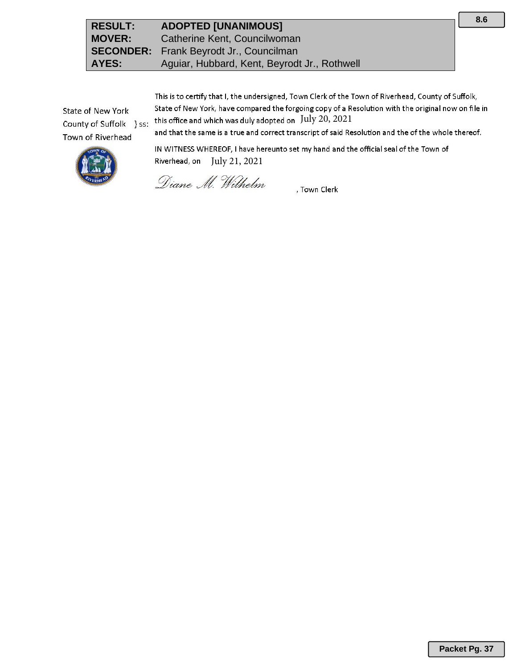This is to certify that I, the undersigned, Town Clerk of the Town of Riverhead, County of Suffolk, State of New York, have compared the forgoing copy of a Resolution with the original now on file in this office and which was duly adopted on July 20, 2021

State of New York County of Suffolk } ss: Town of Riverhead

and that the same is a true and correct transcript of said Resolution and the of the whole thereof.



IN WITNESS WHEREOF, I have hereunto set my hand and the official seal of the Town of Riverhead, on July 21, 2021

Diane M. Wilhelm

, Town Clerk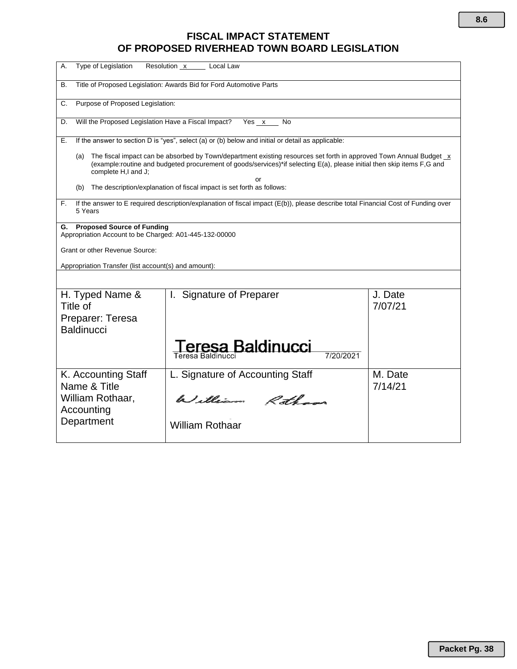### **FISCAL IMPACT STATEMENT OF PROPOSED RIVERHEAD TOWN BOARD LEGISLATION**

| Type of Legislation<br>А.                                                                                                                                                                                                                                                        | Resolution x<br>Local Law                                                                                                         |                    |  |
|----------------------------------------------------------------------------------------------------------------------------------------------------------------------------------------------------------------------------------------------------------------------------------|-----------------------------------------------------------------------------------------------------------------------------------|--------------------|--|
| В.                                                                                                                                                                                                                                                                               | Title of Proposed Legislation: Awards Bid for Ford Automotive Parts                                                               |                    |  |
| C.                                                                                                                                                                                                                                                                               | Purpose of Proposed Legislation:                                                                                                  |                    |  |
| D.                                                                                                                                                                                                                                                                               | Will the Proposed Legislation Have a Fiscal Impact?<br>Yes x<br>No                                                                |                    |  |
| Е.                                                                                                                                                                                                                                                                               | If the answer to section D is "yes", select (a) or (b) below and initial or detail as applicable:                                 |                    |  |
| The fiscal impact can be absorbed by Town/department existing resources set forth in approved Town Annual Budget x<br>(a)<br>(example:routine and budgeted procurement of goods/services)*if selecting E(a), please initial then skip items F,G and<br>complete H,I and J;<br>nr |                                                                                                                                   |                    |  |
| (b)                                                                                                                                                                                                                                                                              | The description/explanation of fiscal impact is set forth as follows:                                                             |                    |  |
| F.<br>5 Years                                                                                                                                                                                                                                                                    | If the answer to E required description/explanation of fiscal impact (E(b)), please describe total Financial Cost of Funding over |                    |  |
| <b>Proposed Source of Funding</b><br>G.<br>Appropriation Account to be Charged: A01-445-132-00000                                                                                                                                                                                |                                                                                                                                   |                    |  |
| <b>Grant or other Revenue Source:</b>                                                                                                                                                                                                                                            |                                                                                                                                   |                    |  |
| Appropriation Transfer (list account(s) and amount):                                                                                                                                                                                                                             |                                                                                                                                   |                    |  |
|                                                                                                                                                                                                                                                                                  |                                                                                                                                   |                    |  |
| H. Typed Name &<br>Title of                                                                                                                                                                                                                                                      | I. Signature of Preparer                                                                                                          | J. Date<br>7/07/21 |  |
| Preparer: Teresa<br><b>Baldinucci</b>                                                                                                                                                                                                                                            |                                                                                                                                   |                    |  |
|                                                                                                                                                                                                                                                                                  | eresa Baldinucci<br>7/20/2021<br>Teresa Baldinucci                                                                                |                    |  |
| K. Accounting Staff<br>Name & Title                                                                                                                                                                                                                                              | L. Signature of Accounting Staff                                                                                                  | M. Date<br>7/14/21 |  |
| William Rothaar,<br>Accounting                                                                                                                                                                                                                                                   | William Rothans                                                                                                                   |                    |  |
| Department                                                                                                                                                                                                                                                                       | <b>William Rothaar</b>                                                                                                            |                    |  |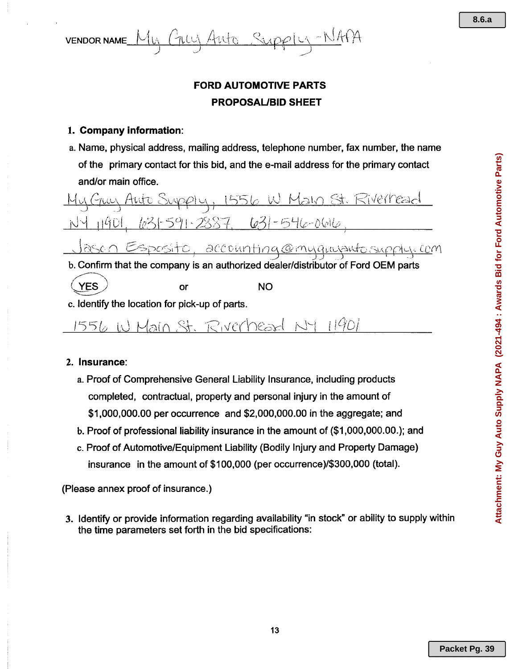

## FORD AUTOMOTIVE PARTS PROPOSAUBID SHEET

#### 1. Company information:

a. Name, physical address, mailing address, telephone number, fax number, the name of the primary contact for this bid, and the e-mail address for the primary contact and/or main office.

<u>Jasen Esposito, accounting@myguyautosupply.com</u> <del>) - तुल्का ज</del>िल्लामा न

b. Confirm that the company is an authorized dealer/distributor of Ford OEM parts **YES**  $YES$  or NO

c. Identify the location for pick-up of parts.

1556 W Main St. Riverhead NY 11901

#### 2. Insurance:

- a. Proof of Comprehensive General Liability Insurance, including products completed, contractual, property and personal injury in the amount of \$1,000,000.00 per occurrence and \$2,000,000.00 in the aggregate; and
- b. Proof of professional liability insurance in the amount of (\$1,000,000.00.); and
- c. Proof of Automotive/Equipment Liability (Bodily Injury and Property Damage) insurance in the amount of \$100,000 (per occurrence)/\$300,000 (total).

#### (Please annex proof of insurance.)

3. Identify or provide information regarding availability "in stock" or ability to supply within the time parameters set forth in the bid specifications: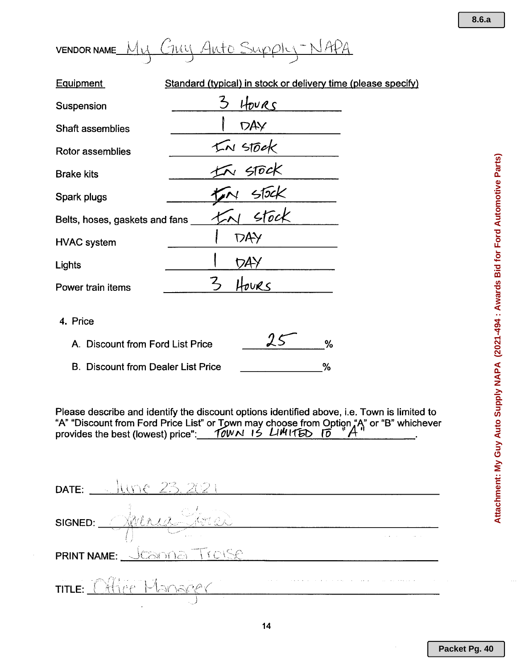| <b>VENDOR NAME</b> | $\mathbf{a}$ | - 24<br>-11.<br>ی ک | $10-10$<br>. سيد ا |
|--------------------|--------------|---------------------|--------------------|
|                    |              |                     |                    |

| <b>Equipment</b>               | Standard (typical) in stock or delivery time (please specify) |
|--------------------------------|---------------------------------------------------------------|
| Suspension                     | HOURS                                                         |
| Shaft assemblies               | DAY                                                           |
| Rotor assemblies               | KN STOCK<br>KN STOCK                                          |
| <b>Brake kits</b>              |                                                               |
| Spark plugs                    | 556K                                                          |
| Belts, hoses, gaskets and fans |                                                               |
| <b>HVAC</b> system             | <b>DAY</b>                                                    |
| Lights                         |                                                               |
| Power train items              | OURS                                                          |
| 4. Price                       | $\theta$ $\epsilon$                                           |

| A. Discount from Ford List Price          |   |
|-------------------------------------------|---|
| <b>B. Discount from Dealer List Price</b> | % |

Please describe and identify the discount options identified above, i.e. Town is limited to "A" "Discount from Ford Price List" or 19wn may choose from QPtiqnA"'it'or "B" whichever provides the best (lowest) price": 1*01/11N ,* S *Ullt* f16t> ro <sup>I</sup> <sup>I</sup> •

| <b>DATE:</b> JUNE 23, 2021 |  |
|----------------------------|--|
| SIGNED: Anima Sina         |  |
| PRINT NAME: JESINA Traise  |  |
| TITLE: Office Manager      |  |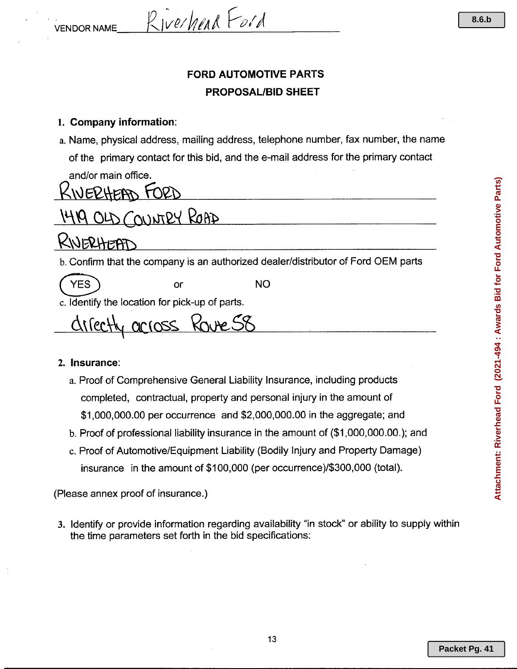$V_{ENDOR\ NAME}$   $R_{IVP}/\eta_{PA}$   $F_{O}/\eta$ 

## **FORD AUTOMOTIVE PARTS PROPOSAL/BID SHEET**

#### 1. **Company information:**

a. Name, physical address, mailing address, telephone number, fax number, the name of the primary contact for this bid, and the e-mail address for the primary contact and/or main office.

# $\mu$ UERHEAD FORD

# OLD COUNTRY ROAD

# NERHEAT

b. Confirm that the company is an authorized dealer/distributor of Ford OEM parts

(YES) or NO

c. Identify the location for pick-up of parts.

chilectly arross Rouxe 58

#### 2. **Insurance:**

- a. Proof of Comprehensive General Liability Insurance, including products completed, contractual, property and personal injury in the amount of \$1,000,000.00 per occurrence and \$2,000,000.00 in the aggregate; and
- b. Proof of professional liability insurance in the amount of (\$1,000,000.00.); and
- c. Proof of Automotive/Equipment Liability (Bodily Injury and Property Damage) insurance in the amount of \$100,000 (per occurrence}/\$300,000 (total).

(Please annex proof of insurance.)

3. Identify or provide information regarding availability "in stock" or ability to supply within the time parameters set forth in the bid specifications: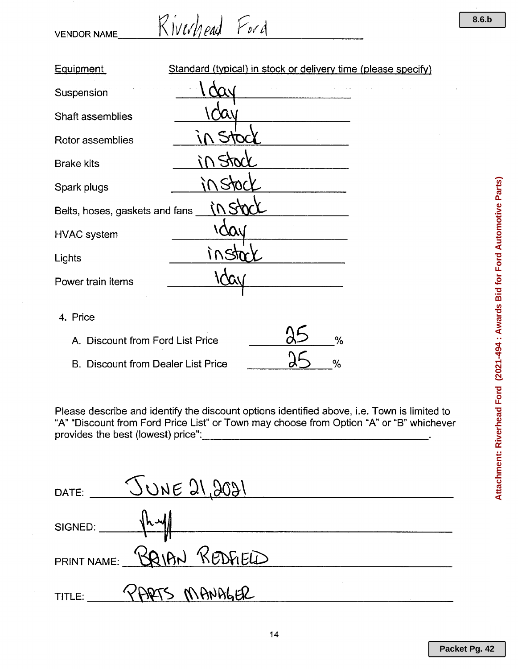$VENDOR NAME$   $K$ *iverlieur*  $F$ *v* $d$ 

| <b>Equipment</b>                          | Standard (typical) in stock or delivery time (please specify) |  |
|-------------------------------------------|---------------------------------------------------------------|--|
| Suspension                                |                                                               |  |
| Shaft assemblies                          |                                                               |  |
| Rotor assemblies                          |                                                               |  |
| <b>Brake kits</b>                         |                                                               |  |
| Spark plugs                               |                                                               |  |
| Belts, hoses, gaskets and fans            |                                                               |  |
| <b>HVAC</b> system                        |                                                               |  |
| Lights                                    |                                                               |  |
| Power train items                         |                                                               |  |
|                                           |                                                               |  |
| 4. Price                                  |                                                               |  |
| A. Discount from Ford List Price          | %                                                             |  |
| <b>B. Discount from Dealer List Price</b> | $\%$                                                          |  |

Please describe and identify the discount options identified above, i.e. Town is limited to "A" "Discount from Ford Price List" or Town may choose from Option "A" or "B" whichever provides the best (lowest) price": \_

|             | DATE: <u>JUNE 21,2021</u>  |
|-------------|----------------------------|
| SIGNED: hul |                            |
|             | PRINT NAME: BRIAN REDFIELD |
| TITLE:      | PARTS MANBLER              |